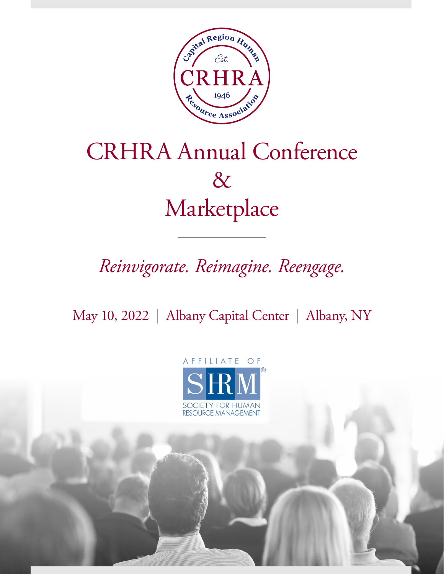

# CRHRA Annual Conference & Marketplace

# *Reinvigorate. Reimagine. Reengage.*

May 10, 2022 | Albany Capital Center | Albany, NY

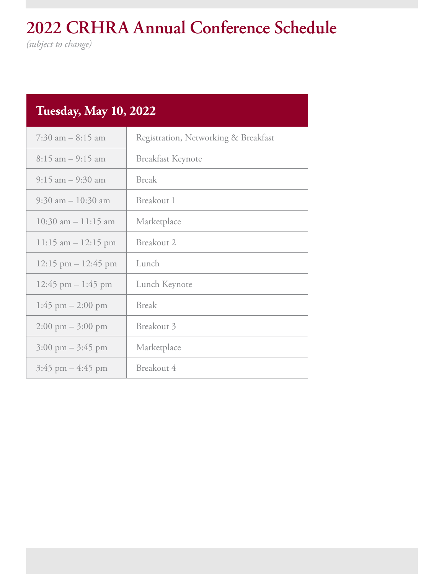# **2022 CRHRA Annual Conference Schedule**

*(subject to change)*

| <b>Tuesday, May 10, 2022</b>        |                                      |  |  |
|-------------------------------------|--------------------------------------|--|--|
| $7:30$ am $-8:15$ am                | Registration, Networking & Breakfast |  |  |
| $8:15$ am $-9:15$ am                | <b>Breakfast Keynote</b>             |  |  |
| $9:15$ am $-9:30$ am                | <b>Break</b>                         |  |  |
| $9:30$ am $-10:30$ am               | Breakout 1                           |  |  |
| $10:30$ am $-11:15$ am              | Marketplace                          |  |  |
| $11:15$ am $-12:15$ pm              | Breakout 2                           |  |  |
| 12:15 pm $-$ 12:45 pm               | Lunch                                |  |  |
| 12:45 pm $-1:45$ pm                 | Lunch Keynote                        |  |  |
| $1:45$ pm $- 2:00$ pm               | <b>Break</b>                         |  |  |
| $2:00 \text{ pm} - 3:00 \text{ pm}$ | Breakout 3                           |  |  |
| $3:00 \text{ pm} - 3:45 \text{ pm}$ | Marketplace                          |  |  |
| $3:45$ pm $-4:45$ pm                | Breakout 4                           |  |  |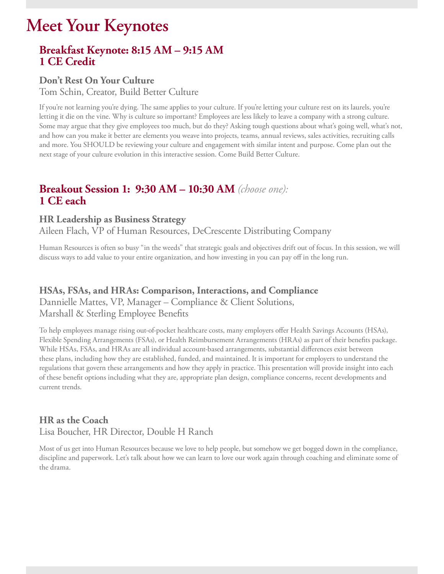# **Meet Your Keynotes**

## **Breakfast Keynote: 8:15 AM – 9:15 AM 1 CE Credit**

#### **Don't Rest On Your Culture**

Tom Schin, Creator, Build Better Culture

If you're not learning you're dying. The same applies to your culture. If you're letting your culture rest on its laurels, you're letting it die on the vine. Why is culture so important? Employees are less likely to leave a company with a strong culture. Some may argue that they give employees too much, but do they? Asking tough questions about what's going well, what's not, and how can you make it better are elements you weave into projects, teams, annual reviews, sales activities, recruiting calls and more. You SHOULD be reviewing your culture and engagement with similar intent and purpose. Come plan out the next stage of your culture evolution in this interactive session. Come Build Better Culture.

## **Breakout Session 1: 9:30 AM – 10:30 AM** *(choose one):* **1 CE each**

#### **HR Leadership as Business Strategy**

Aileen Flach, VP of Human Resources, DeCrescente Distributing Company

Human Resources is often so busy "in the weeds" that strategic goals and objectives drift out of focus. In this session, we will discuss ways to add value to your entire organization, and how investing in you can pay off in the long run.

#### **HSAs, FSAs, and HRAs: Comparison, Interactions, and Compliance**

Dannielle Mattes, VP, Manager – Compliance & Client Solutions, Marshall & Sterling Employee Benefits

To help employees manage rising out-of-pocket healthcare costs, many employers offer Health Savings Accounts (HSAs), Flexible Spending Arrangements (FSAs), or Health Reimbursement Arrangements (HRAs) as part of their benefits package. While HSAs, FSAs, and HRAs are all individual account-based arrangements, substantial differences exist between these plans, including how they are established, funded, and maintained. It is important for employers to understand the regulations that govern these arrangements and how they apply in practice. This presentation will provide insight into each of these benefit options including what they are, appropriate plan design, compliance concerns, recent developments and current trends.

### **HR as the Coach** Lisa Boucher, HR Director, Double H Ranch

Most of us get into Human Resources because we love to help people, but somehow we get bogged down in the compliance, discipline and paperwork. Let's talk about how we can learn to love our work again through coaching and eliminate some of the drama.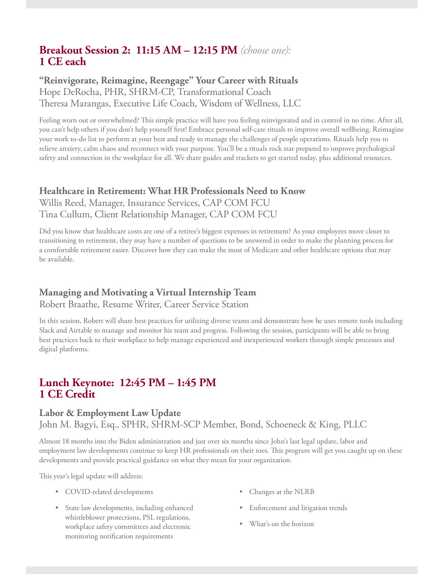# **Breakout Session 2: 11:15 AM – 12:15 PM** *(choose one):* **1 CE each**

#### **"Reinvigorate, Reimagine, Reengage" Your Career with Rituals** Hope DeRocha, PHR, SHRM-CP, Transformational Coach Theresa Marangas, Executive Life Coach, Wisdom of Wellness, LLC

Feeling worn out or overwhelmed? This simple practice will have you feeling reinvigorated and in control in no time. After all, you can't help others if you don't help yourself first! Embrace personal self-care rituals to improve overall wellbeing. Reimagine your work to-do list to perform at your best and ready to manage the challenges of people operations. Rituals help you to relieve anxiety, calm chaos and reconnect with your purpose. You'll be a rituals rock star prepared to improve psychological safety and connection in the workplace for all. We share guides and trackers to get started today, plus additional resources.

#### **Healthcare in Retirement: What HR Professionals Need to Know**

Willis Reed, Manager, Insurance Services, CAP COM FCU Tina Cullum, Client Relationship Manager, CAP COM FCU

Did you know that healthcare costs are one of a retiree's biggest expenses in retirement? As your employees move closer to transitioning to retirement, they may have a number of questions to be answered in order to make the planning process for a comfortable retirement easier. Discover how they can make the most of Medicare and other healthcare options that may be available.

# **Managing and Motivating a Virtual Internship Team**

Robert Braathe, Resume Writer, Career Service Station

In this session, Robert will share best practices for utilizing diverse teams and demonstrate how he uses remote tools including Slack and Airtable to manage and monitor his team and progress. Following the session, participants will be able to bring best practices back to their workplace to help manage experienced and inexperienced workers through simple processes and digital platforms.

### **Lunch Keynote: 12:45 PM – 1:45 PM 1 CE Credit**

#### **Labor & Employment Law Update**

John M. Bagyi, Esq., SPHR, SHRM-SCP Member, Bond, Schoeneck & King, PLLC

Almost 18 months into the Biden administration and just over six months since John's last legal update, labor and employment law developments continue to keep HR professionals on their toes. This program will get you caught up on these developments and provide practical guidance on what they mean for your organization.

This year's legal update will address:

- COVID-related developments
- State law developments, including enhanced whistleblower protections, PSL regulations, workplace safety committees and electronic monitoring notification requirements
- Changes at the NLRB
- Enforcement and litigation trends
- What's on the horizon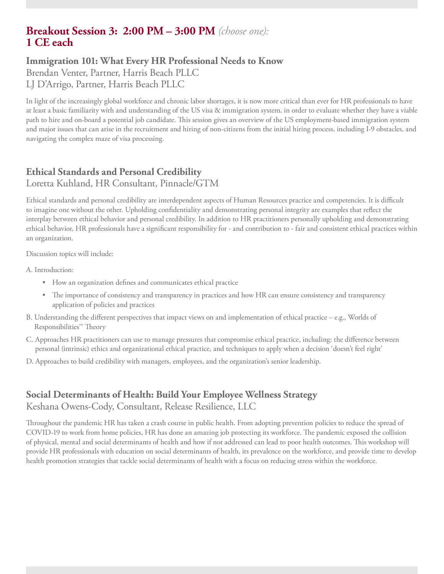# **Breakout Session 3: 2:00 PM – 3:00 PM** *(choose one):* **1 CE each**

### **Immigration 101: What Every HR Professional Needs to Know**

Brendan Venter, Partner, Harris Beach PLLC

LJ D'Arrigo, Partner, Harris Beach PLLC

In light of the increasingly global workforce and chronic labor shortages, it is now more critical than ever for HR professionals to have at least a basic familiarity with and understanding of the US visa & immigration system, in order to evaluate whether they have a viable path to hire and on-board a potential job candidate. This session gives an overview of the US employment-based immigration system and major issues that can arise in the recruitment and hiring of non-citizens from the initial hiring process, including I-9 obstacles, and navigating the complex maze of visa processing.

# **Ethical Standards and Personal Credibility**

Loretta Kuhland, HR Consultant, Pinnacle/GTM

Ethical standards and personal credibility are interdependent aspects of Human Resources practice and competencies. It is difficult to imagine one without the other. Upholding confidentiality and demonstrating personal integrity are examples that reflect the interplay between ethical behavior and personal credibility. In addition to HR practitioners personally upholding and demonstrating ethical behavior, HR professionals have a significant responsibility for - and contribution to - fair and consistent ethical practices within an organization.

Discussion topics will include:

A. Introduction:

- How an organization defines and communicates ethical practice
- The importance of consistency and transparency in practices and how HR can ensure consistency and transparency application of policies and practices
- B. Understanding the different perspectives that impact views on and implementation of ethical practice e.g., Worlds of Responsibilities™ Theory
- C. Approaches HR practitioners can use to manage pressures that compromise ethical practice, including: the difference between personal (intrinsic) ethics and organizational ethical practice, and techniques to apply when a decision 'doesn't feel right'
- D. Approaches to build credibility with managers, employees, and the organization's senior leadership.

#### **Social Determinants of Health: Build Your Employee Wellness Strategy** Keshana Owens-Cody, Consultant, Release Resilience, LLC

Throughout the pandemic HR has taken a crash course in public health. From adopting prevention policies to reduce the spread of COVID-19 to work from home policies, HR has done an amazing job protecting its workforce. The pandemic exposed the collision of physical, mental and social determinants of health and how if not addressed can lead to poor health outcomes. This workshop will provide HR professionals with education on social determinants of health, its prevalence on the workforce, and provide time to develop health promotion strategies that tackle social determinants of health with a focus on reducing stress within the workforce.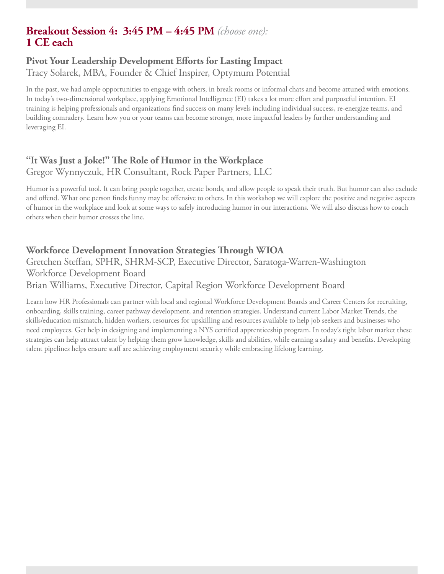# **Breakout Session 4: 3:45 PM – 4:45 PM** *(choose one):* **1 CE each**

#### **Pivot Your Leadership Development Efforts for Lasting Impact** Tracy Solarek, MBA, Founder & Chief Inspirer, Optymum Potential

In the past, we had ample opportunities to engage with others, in break rooms or informal chats and become attuned with emotions. In today's two-dimensional workplace, applying Emotional Intelligence (EI) takes a lot more effort and purposeful intention. EI training is helping professionals and organizations find success on many levels including individual success, re-energize teams, and building comradery. Learn how you or your teams can become stronger, more impactful leaders by further understanding and leveraging EI.

#### **"It Was Just a Joke!" The Role of Humor in the Workplace** Gregor Wynnyczuk, HR Consultant, Rock Paper Partners, LLC

Humor is a powerful tool. It can bring people together, create bonds, and allow people to speak their truth. But humor can also exclude and offend. What one person finds funny may be offensive to others. In this workshop we will explore the positive and negative aspects of humor in the workplace and look at some ways to safely introducing humor in our interactions. We will also discuss how to coach others when their humor crosses the line.

### **Workforce Development Innovation Strategies Through WIOA**

Gretchen Steffan, SPHR, SHRM-SCP, Executive Director, Saratoga-Warren-Washington Workforce Development Board Brian Williams, Executive Director, Capital Region Workforce Development Board

Learn how HR Professionals can partner with local and regional Workforce Development Boards and Career Centers for recruiting, onboarding, skills training, career pathway development, and retention strategies. Understand current Labor Market Trends, the skills/education mismatch, hidden workers, resources for upskilling and resources available to help job seekers and businesses who need employees. Get help in designing and implementing a NYS certified apprenticeship program. In today's tight labor market these strategies can help attract talent by helping them grow knowledge, skills and abilities, while earning a salary and benefits. Developing talent pipelines helps ensure staff are achieving employment security while embracing lifelong learning.